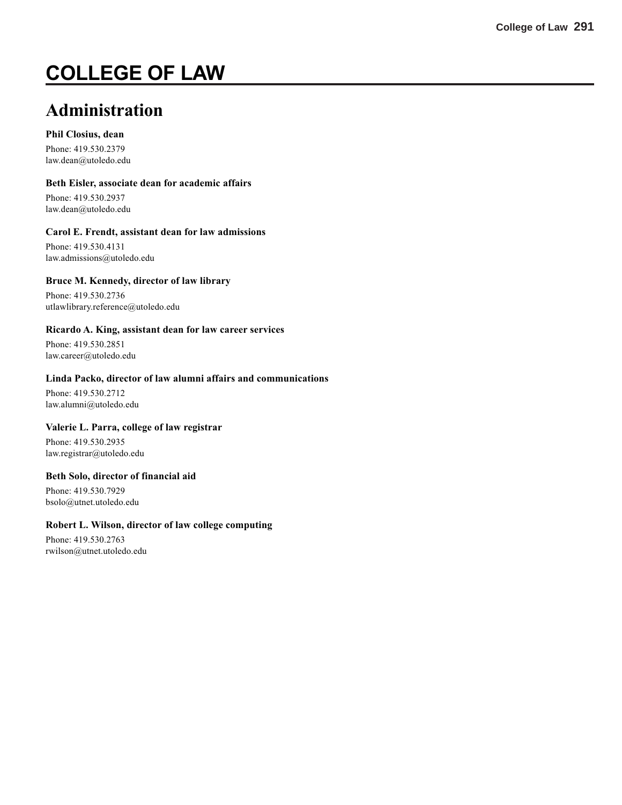# **COLLEGE OF LAW**

## **Administration**

#### **Phil Closius, dean**

Phone: 419.530.2379 law.dean@utoledo.edu

#### **Beth Eisler, associate dean for academic affairs**

Phone: 419.530.2937 law.dean@utoledo.edu

#### **Carol E. Frendt, assistant dean for law admissions**

Phone: 419.530.4131 law.admissions@utoledo.edu

#### **Bruce M. Kennedy, director of law library**

Phone: 419.530.2736 utlawlibrary.reference@utoledo.edu

#### **Ricardo A. King, assistant dean for law career services**

Phone: 419.530.2851 law.career@utoledo.edu

#### **Linda Packo, director of law alumni affairs and communications**

Phone: 419.530.2712 law.alumni@utoledo.edu

#### **Valerie L. Parra, college of law registrar**

Phone: 419.530.2935 law.registrar@utoledo.edu

#### **Beth Solo, director of financial aid**

Phone: 419.530.7929 bsolo@utnet.utoledo.edu

#### **Robert L. Wilson, director of law college computing**

Phone: 419.530.2763 rwilson@utnet.utoledo.edu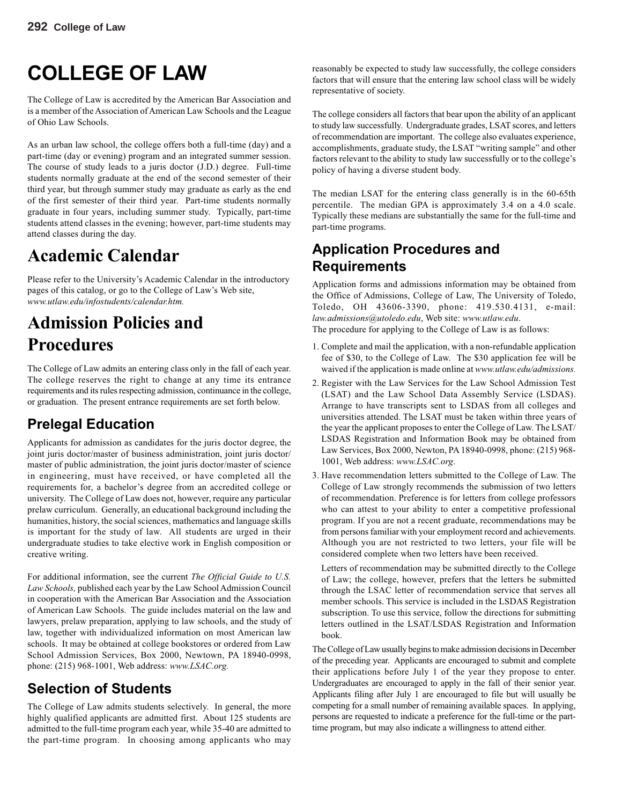# **COLLEGE OF LAW**

The College of Law is accredited by the American Bar Association and is a member of the Association of American Law Schools and the League of Ohio Law Schools.

As an urban law school, the college offers both a full-time (day) and a part-time (day or evening) program and an integrated summer session. The course of study leads to a juris doctor (J.D.) degree. Full-time students normally graduate at the end of the second semester of their third year, but through summer study may graduate as early as the end of the first semester of their third year. Part-time students normally graduate in four years, including summer study. Typically, part-time students attend classes in the evening; however, part-time students may attend classes during the day.

## **Academic Calendar**

Please refer to the University's Academic Calendar in the introductory pages of this catalog, or go to the College of Law's Web site, *www.utlaw.edu/infostudents/calendar.htm.*

## **Admission Policies and Procedures**

The College of Law admits an entering class only in the fall of each year. The college reserves the right to change at any time its entrance requirements and its rules respecting admission, continuance in the college, or graduation. The present entrance requirements are set forth below.

## **Prelegal Education**

Applicants for admission as candidates for the juris doctor degree, the joint juris doctor/master of business administration, joint juris doctor/ master of public administration, the joint juris doctor/master of science in engineering, must have received, or have completed all the requirements for, a bachelor's degree from an accredited college or university. The College of Law does not, however, require any particular prelaw curriculum. Generally, an educational background including the humanities, history, the social sciences, mathematics and language skills is important for the study of law. All students are urged in their undergraduate studies to take elective work in English composition or creative writing.

For additional information, see the current *The Official Guide to U.S. Law Schools,* published each year by the Law School Admission Council in cooperation with the American Bar Association and the Association of American Law Schools. The guide includes material on the law and lawyers, prelaw preparation, applying to law schools, and the study of law, together with individualized information on most American law schools. It may be obtained at college bookstores or ordered from Law School Admission Services, Box 2000, Newtown, PA 18940-0998, phone: (215) 968-1001, Web address: *www.LSAC.org.*

## **Selection of Students**

The College of Law admits students selectively. In general, the more highly qualified applicants are admitted first. About 125 students are admitted to the full-time program each year, while 35-40 are admitted to the part-time program. In choosing among applicants who may

reasonably be expected to study law successfully, the college considers factors that will ensure that the entering law school class will be widely representative of society.

The college considers all factors that bear upon the ability of an applicant to study law successfully. Undergraduate grades, LSAT scores, and letters of recommendation are important. The college also evaluates experience, accomplishments, graduate study, the LSAT "writing sample" and other factors relevant to the ability to study law successfully or to the college's policy of having a diverse student body.

The median LSAT for the entering class generally is in the 60-65th percentile. The median GPA is approximately 3.4 on a 4.0 scale. Typically these medians are substantially the same for the full-time and part-time programs.

#### **Application Procedures and Requirements**

Application forms and admissions information may be obtained from the Office of Admissions, College of Law, The University of Toledo, Toledo, OH 43606-3390, phone: 419.530.4131, e-mail: *law.admissions@utoledo.edu*, Web site: *www.utlaw.edu*.

The procedure for applying to the College of Law is as follows:

- 1. Complete and mail the application, with a non-refundable application fee of \$30, to the College of Law. The \$30 application fee will be waived if the application is made online at *www.utlaw.edu/admissions.*
- 2. Register with the Law Services for the Law School Admission Test (LSAT) and the Law School Data Assembly Service (LSDAS). Arrange to have transcripts sent to LSDAS from all colleges and universities attended. The LSAT must be taken within three years of the year the applicant proposes to enter the College of Law. The LSAT/ LSDAS Registration and Information Book may be obtained from Law Services, Box 2000, Newton, PA 18940-0998, phone: (215) 968- 1001, Web address: *www.LSAC.org*.
- 3. Have recommendation letters submitted to the College of Law. The College of Law strongly recommends the submission of two letters of recommendation. Preference is for letters from college professors who can attest to your ability to enter a competitive professional program. If you are not a recent graduate, recommendations may be from persons familiar with your employment record and achievements. Although you are not restricted to two letters, your file will be considered complete when two letters have been received.

Letters of recommendation may be submitted directly to the College of Law; the college, however, prefers that the letters be submitted through the LSAC letter of recommendation service that serves all member schools. This service is included in the LSDAS Registration subscription. To use this service, follow the directions for submitting letters outlined in the LSAT/LSDAS Registration and Information book.

The College of Law usually begins to make admission decisions in December of the preceding year. Applicants are encouraged to submit and complete their applications before July 1 of the year they propose to enter. Undergraduates are encouraged to apply in the fall of their senior year. Applicants filing after July 1 are encouraged to file but will usually be competing for a small number of remaining available spaces. In applying, persons are requested to indicate a preference for the full-time or the parttime program, but may also indicate a willingness to attend either.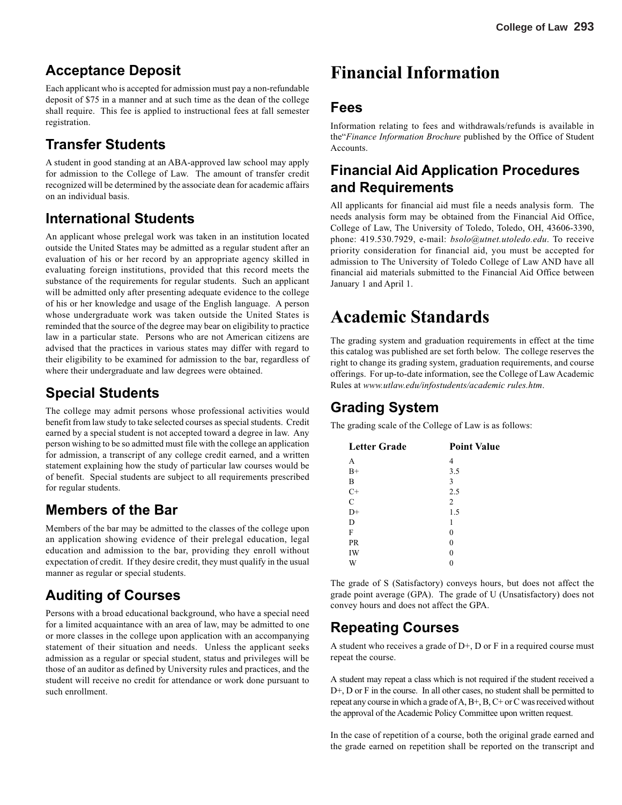#### **Acceptance Deposit**

Each applicant who is accepted for admission must pay a non-refundable deposit of \$75 in a manner and at such time as the dean of the college shall require. This fee is applied to instructional fees at fall semester registration.

### **Transfer Students**

A student in good standing at an ABA-approved law school may apply for admission to the College of Law. The amount of transfer credit recognized will be determined by the associate dean for academic affairs on an individual basis.

### **International Students**

An applicant whose prelegal work was taken in an institution located outside the United States may be admitted as a regular student after an evaluation of his or her record by an appropriate agency skilled in evaluating foreign institutions, provided that this record meets the substance of the requirements for regular students. Such an applicant will be admitted only after presenting adequate evidence to the college of his or her knowledge and usage of the English language. A person whose undergraduate work was taken outside the United States is reminded that the source of the degree may bear on eligibility to practice law in a particular state. Persons who are not American citizens are advised that the practices in various states may differ with regard to their eligibility to be examined for admission to the bar, regardless of where their undergraduate and law degrees were obtained.

#### **Special Students**

The college may admit persons whose professional activities would benefit from law study to take selected courses as special students. Credit earned by a special student is not accepted toward a degree in law. Any person wishing to be so admitted must file with the college an application for admission, a transcript of any college credit earned, and a written statement explaining how the study of particular law courses would be of benefit. Special students are subject to all requirements prescribed for regular students.

### **Members of the Bar**

Members of the bar may be admitted to the classes of the college upon an application showing evidence of their prelegal education, legal education and admission to the bar, providing they enroll without expectation of credit. If they desire credit, they must qualify in the usual manner as regular or special students.

## **Auditing of Courses**

Persons with a broad educational background, who have a special need for a limited acquaintance with an area of law, may be admitted to one or more classes in the college upon application with an accompanying statement of their situation and needs. Unless the applicant seeks admission as a regular or special student, status and privileges will be those of an auditor as defined by University rules and practices, and the student will receive no credit for attendance or work done pursuant to such enrollment.

## **Financial Information**

#### **Fees**

Information relating to fees and withdrawals/refunds is available in the"*Finance Information Brochure* published by the Office of Student **Accounts** 

### **Financial Aid Application Procedures and Requirements**

All applicants for financial aid must file a needs analysis form. The needs analysis form may be obtained from the Financial Aid Office, College of Law, The University of Toledo, Toledo, OH, 43606-3390, phone: 419.530.7929, e-mail: *bsolo@utnet.utoledo.edu*. To receive priority consideration for financial aid, you must be accepted for admission to The University of Toledo College of Law AND have all financial aid materials submitted to the Financial Aid Office between January 1 and April 1.

## **Academic Standards**

The grading system and graduation requirements in effect at the time this catalog was published are set forth below. The college reserves the right to change its grading system, graduation requirements, and course offerings. For up-to-date information, see the College of Law Academic Rules at *www.utlaw.edu/infostudents/academic rules.htm*.

### **Grading System**

The grading scale of the College of Law is as follows:

| <b>Letter Grade</b> | <b>Point Value</b> |
|---------------------|--------------------|
| A                   | 4                  |
| $B+$                | 3.5                |
| B                   | 3                  |
| $C+$                | 2.5                |
| $\mathcal{C}$       | $\overline{2}$     |
| $D+$                | 1.5                |
| D                   | 1                  |
| F                   | 0                  |
| <b>PR</b>           | 0                  |
| IW                  | 0                  |
| W                   |                    |

The grade of S (Satisfactory) conveys hours, but does not affect the grade point average (GPA). The grade of U (Unsatisfactory) does not convey hours and does not affect the GPA.

### **Repeating Courses**

A student who receives a grade of  $D<sup>+</sup>$ , D or F in a required course must repeat the course.

A student may repeat a class which is not required if the student received a D+, D or F in the course. In all other cases, no student shall be permitted to repeat any course in which a grade of A, B+, B, C+ or C was received without the approval of the Academic Policy Committee upon written request.

In the case of repetition of a course, both the original grade earned and the grade earned on repetition shall be reported on the transcript and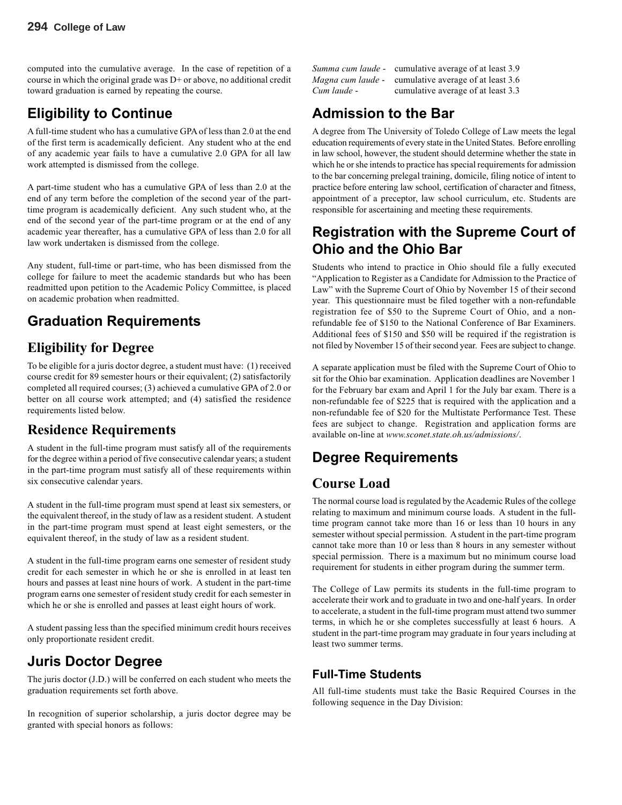computed into the cumulative average. In the case of repetition of a course in which the original grade was D+ or above, no additional credit toward graduation is earned by repeating the course.

### **Eligibility to Continue**

A full-time student who has a cumulative GPA of less than 2.0 at the end of the first term is academically deficient. Any student who at the end of any academic year fails to have a cumulative 2.0 GPA for all law work attempted is dismissed from the college.

A part-time student who has a cumulative GPA of less than 2.0 at the end of any term before the completion of the second year of the parttime program is academically deficient. Any such student who, at the end of the second year of the part-time program or at the end of any academic year thereafter, has a cumulative GPA of less than 2.0 for all law work undertaken is dismissed from the college.

Any student, full-time or part-time, who has been dismissed from the college for failure to meet the academic standards but who has been readmitted upon petition to the Academic Policy Committee, is placed on academic probation when readmitted.

### **Graduation Requirements**

#### **Eligibility for Degree**

To be eligible for a juris doctor degree, a student must have: (1) received course credit for 89 semester hours or their equivalent; (2) satisfactorily completed all required courses; (3) achieved a cumulative GPA of 2.0 or better on all course work attempted; and (4) satisfied the residence requirements listed below.

#### **Residence Requirements**

A student in the full-time program must satisfy all of the requirements for the degree within a period of five consecutive calendar years; a student in the part-time program must satisfy all of these requirements within six consecutive calendar years.

A student in the full-time program must spend at least six semesters, or the equivalent thereof, in the study of law as a resident student. A student in the part-time program must spend at least eight semesters, or the equivalent thereof, in the study of law as a resident student.

A student in the full-time program earns one semester of resident study credit for each semester in which he or she is enrolled in at least ten hours and passes at least nine hours of work. A student in the part-time program earns one semester of resident study credit for each semester in which he or she is enrolled and passes at least eight hours of work.

A student passing less than the specified minimum credit hours receives only proportionate resident credit.

#### **Juris Doctor Degree**

The juris doctor (J.D.) will be conferred on each student who meets the graduation requirements set forth above.

In recognition of superior scholarship, a juris doctor degree may be granted with special honors as follows:

|             | <i>Summa cum laude</i> - cumulative average of at least 3.9 |
|-------------|-------------------------------------------------------------|
|             | <i>Magna cum laude</i> - cumulative average of at least 3.6 |
| Cum laude - | cumulative average of at least 3.3                          |

### **Admission to the Bar**

A degree from The University of Toledo College of Law meets the legal education requirements of every state in the United States. Before enrolling in law school, however, the student should determine whether the state in which he or she intends to practice has special requirements for admission to the bar concerning prelegal training, domicile, filing notice of intent to practice before entering law school, certification of character and fitness, appointment of a preceptor, law school curriculum, etc. Students are responsible for ascertaining and meeting these requirements.

#### **Registration with the Supreme Court of Ohio and the Ohio Bar**

Students who intend to practice in Ohio should file a fully executed "Application to Register as a Candidate for Admission to the Practice of Law" with the Supreme Court of Ohio by November 15 of their second year. This questionnaire must be filed together with a non-refundable registration fee of \$50 to the Supreme Court of Ohio, and a nonrefundable fee of \$150 to the National Conference of Bar Examiners. Additional fees of \$150 and \$50 will be required if the registration is not filed by November 15 of their second year. Fees are subject to change.

A separate application must be filed with the Supreme Court of Ohio to sit for the Ohio bar examination. Application deadlines are November 1 for the February bar exam and April 1 for the July bar exam. There is a non-refundable fee of \$225 that is required with the application and a non-refundable fee of \$20 for the Multistate Performance Test. These fees are subject to change. Registration and application forms are available on-line at *www.sconet.state.oh.us/admissions/*.

## **Degree Requirements**

#### **Course Load**

The normal course load is regulated by the Academic Rules of the college relating to maximum and minimum course loads. A student in the fulltime program cannot take more than 16 or less than 10 hours in any semester without special permission. A student in the part-time program cannot take more than 10 or less than 8 hours in any semester without special permission. There is a maximum but no minimum course load requirement for students in either program during the summer term.

The College of Law permits its students in the full-time program to accelerate their work and to graduate in two and one-half years. In order to accelerate, a student in the full-time program must attend two summer terms, in which he or she completes successfully at least 6 hours. A student in the part-time program may graduate in four years including at least two summer terms.

#### **Full-Time Students**

All full-time students must take the Basic Required Courses in the following sequence in the Day Division: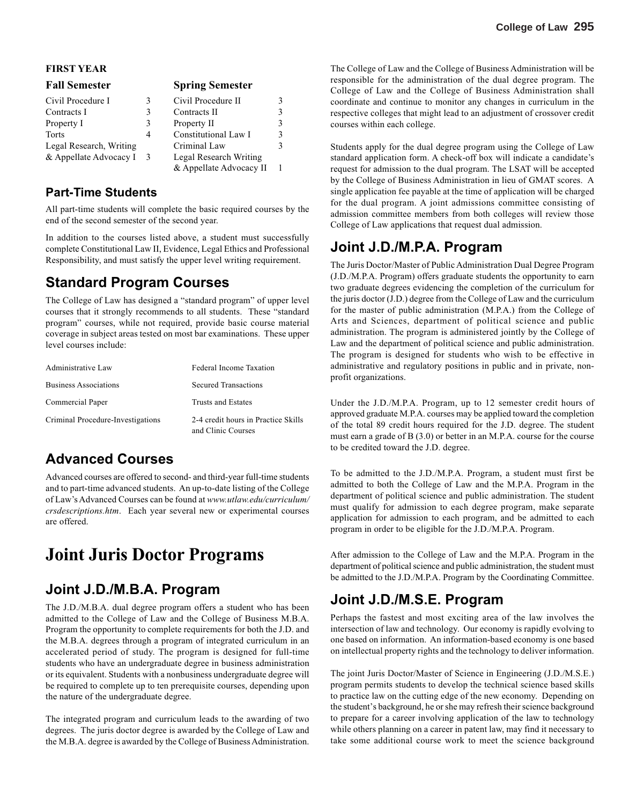#### **FIRST YEAR**

| <b>Fall Semester</b>    |   | <b>Spring Semester</b>  |   |
|-------------------------|---|-------------------------|---|
| Civil Procedure I       | 3 | Civil Procedure II      |   |
| Contracts I             | 3 | Contracts II            |   |
| Property I              | 3 | Property II             | 3 |
| <b>Torts</b>            | 4 | Constitutional Law I    |   |
| Legal Research, Writing |   | Criminal Law            |   |
| & Appellate Advocacy I  | 3 | Legal Research Writing  |   |
|                         |   | & Appellate Advocacy II |   |

#### **Part-Time Students**

All part-time students will complete the basic required courses by the end of the second semester of the second year.

In addition to the courses listed above, a student must successfully complete Constitutional Law II, Evidence, Legal Ethics and Professional Responsibility, and must satisfy the upper level writing requirement.

#### **Standard Program Courses**

The College of Law has designed a "standard program" of upper level courses that it strongly recommends to all students. These "standard program" courses, while not required, provide basic course material coverage in subject areas tested on most bar examinations. These upper level courses include:

| Administrative Law                | Federal Income Taxation                                   |
|-----------------------------------|-----------------------------------------------------------|
| <b>Business Associations</b>      | <b>Secured Transactions</b>                               |
| Commercial Paper                  | Trusts and Estates                                        |
| Criminal Procedure-Investigations | 2-4 credit hours in Practice Skills<br>and Clinic Courses |

#### **Advanced Courses**

Advanced courses are offered to second- and third-year full-time students and to part-time advanced students. An up-to-date listing of the College of Law's Advanced Courses can be found at *www.utlaw.edu/curriculum/ crsdescriptions.htm*. Each year several new or experimental courses are offered.

## **Joint Juris Doctor Programs**

#### **Joint J.D./M.B.A. Program**

The J.D./M.B.A. dual degree program offers a student who has been admitted to the College of Law and the College of Business M.B.A. Program the opportunity to complete requirements for both the J.D. and the M.B.A. degrees through a program of integrated curriculum in an accelerated period of study. The program is designed for full-time students who have an undergraduate degree in business administration or its equivalent. Students with a nonbusiness undergraduate degree will be required to complete up to ten prerequisite courses, depending upon the nature of the undergraduate degree.

The integrated program and curriculum leads to the awarding of two degrees. The juris doctor degree is awarded by the College of Law and the M.B.A. degree is awarded by the College of Business Administration. The College of Law and the College of Business Administration will be responsible for the administration of the dual degree program. The College of Law and the College of Business Administration shall coordinate and continue to monitor any changes in curriculum in the respective colleges that might lead to an adjustment of crossover credit courses within each college.

Students apply for the dual degree program using the College of Law standard application form. A check-off box will indicate a candidate's request for admission to the dual program. The LSAT will be accepted by the College of Business Administration in lieu of GMAT scores. A single application fee payable at the time of application will be charged for the dual program. A joint admissions committee consisting of admission committee members from both colleges will review those College of Law applications that request dual admission.

#### **Joint J.D./M.P.A. Program**

The Juris Doctor/Master of Public Administration Dual Degree Program (J.D./M.P.A. Program) offers graduate students the opportunity to earn two graduate degrees evidencing the completion of the curriculum for the juris doctor (J.D.) degree from the College of Law and the curriculum for the master of public administration (M.P.A.) from the College of Arts and Sciences, department of political science and public administration. The program is administered jointly by the College of Law and the department of political science and public administration. The program is designed for students who wish to be effective in administrative and regulatory positions in public and in private, nonprofit organizations.

Under the J.D./M.P.A. Program, up to 12 semester credit hours of approved graduate M.P.A. courses may be applied toward the completion of the total 89 credit hours required for the J.D. degree. The student must earn a grade of B (3.0) or better in an M.P.A. course for the course to be credited toward the J.D. degree.

To be admitted to the J.D./M.P.A. Program, a student must first be admitted to both the College of Law and the M.P.A. Program in the department of political science and public administration. The student must qualify for admission to each degree program, make separate application for admission to each program, and be admitted to each program in order to be eligible for the J.D./M.P.A. Program.

After admission to the College of Law and the M.P.A. Program in the department of political science and public administration, the student must be admitted to the J.D./M.P.A. Program by the Coordinating Committee.

#### **Joint J.D./M.S.E. Program**

Perhaps the fastest and most exciting area of the law involves the intersection of law and technology. Our economy is rapidly evolving to one based on information. An information-based economy is one based on intellectual property rights and the technology to deliver information.

The joint Juris Doctor/Master of Science in Engineering (J.D./M.S.E.) program permits students to develop the technical science based skills to practice law on the cutting edge of the new economy. Depending on the student's background, he or she may refresh their science background to prepare for a career involving application of the law to technology while others planning on a career in patent law, may find it necessary to take some additional course work to meet the science background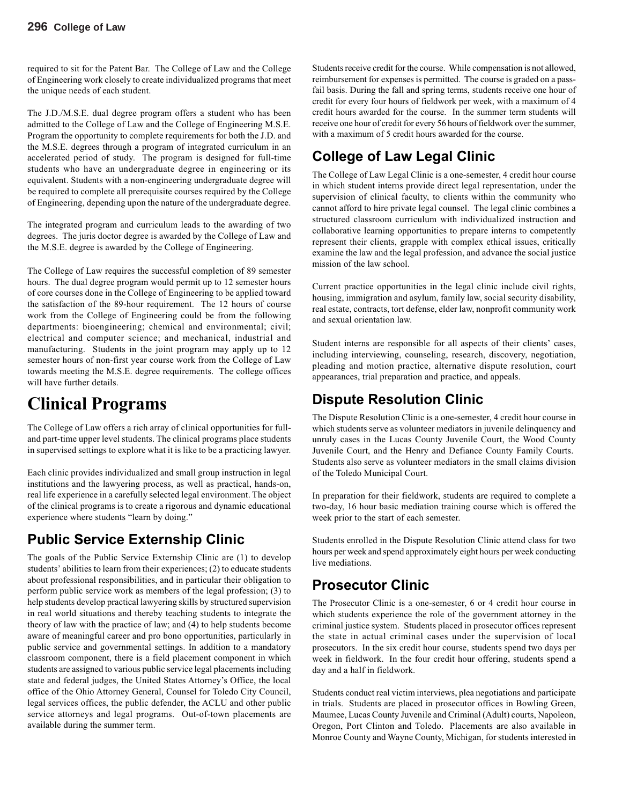required to sit for the Patent Bar. The College of Law and the College of Engineering work closely to create individualized programs that meet the unique needs of each student.

The J.D./M.S.E. dual degree program offers a student who has been admitted to the College of Law and the College of Engineering M.S.E. Program the opportunity to complete requirements for both the J.D. and the M.S.E. degrees through a program of integrated curriculum in an accelerated period of study. The program is designed for full-time students who have an undergraduate degree in engineering or its equivalent. Students with a non-engineering undergraduate degree will be required to complete all prerequisite courses required by the College of Engineering, depending upon the nature of the undergraduate degree.

The integrated program and curriculum leads to the awarding of two degrees. The juris doctor degree is awarded by the College of Law and the M.S.E. degree is awarded by the College of Engineering.

The College of Law requires the successful completion of 89 semester hours. The dual degree program would permit up to 12 semester hours of core courses done in the College of Engineering to be applied toward the satisfaction of the 89-hour requirement. The 12 hours of course work from the College of Engineering could be from the following departments: bioengineering; chemical and environmental; civil; electrical and computer science; and mechanical, industrial and manufacturing. Students in the joint program may apply up to 12 semester hours of non-first year course work from the College of Law towards meeting the M.S.E. degree requirements. The college offices will have further details.

## **Clinical Programs**

The College of Law offers a rich array of clinical opportunities for fulland part-time upper level students. The clinical programs place students in supervised settings to explore what it is like to be a practicing lawyer.

Each clinic provides individualized and small group instruction in legal institutions and the lawyering process, as well as practical, hands-on, real life experience in a carefully selected legal environment. The object of the clinical programs is to create a rigorous and dynamic educational experience where students "learn by doing."

### **Public Service Externship Clinic**

The goals of the Public Service Externship Clinic are (1) to develop students' abilities to learn from their experiences; (2) to educate students about professional responsibilities, and in particular their obligation to perform public service work as members of the legal profession; (3) to help students develop practical lawyering skills by structured supervision in real world situations and thereby teaching students to integrate the theory of law with the practice of law; and (4) to help students become aware of meaningful career and pro bono opportunities, particularly in public service and governmental settings. In addition to a mandatory classroom component, there is a field placement component in which students are assigned to various public service legal placements including state and federal judges, the United States Attorney's Office, the local office of the Ohio Attorney General, Counsel for Toledo City Council, legal services offices, the public defender, the ACLU and other public service attorneys and legal programs. Out-of-town placements are available during the summer term.

Students receive credit for the course. While compensation is not allowed, reimbursement for expenses is permitted. The course is graded on a passfail basis. During the fall and spring terms, students receive one hour of credit for every four hours of fieldwork per week, with a maximum of 4 credit hours awarded for the course. In the summer term students will receive one hour of credit for every 56 hours of fieldwork over the summer, with a maximum of 5 credit hours awarded for the course.

## **College of Law Legal Clinic**

The College of Law Legal Clinic is a one-semester, 4 credit hour course in which student interns provide direct legal representation, under the supervision of clinical faculty, to clients within the community who cannot afford to hire private legal counsel. The legal clinic combines a structured classroom curriculum with individualized instruction and collaborative learning opportunities to prepare interns to competently represent their clients, grapple with complex ethical issues, critically examine the law and the legal profession, and advance the social justice mission of the law school.

Current practice opportunities in the legal clinic include civil rights, housing, immigration and asylum, family law, social security disability, real estate, contracts, tort defense, elder law, nonprofit community work and sexual orientation law.

Student interns are responsible for all aspects of their clients' cases, including interviewing, counseling, research, discovery, negotiation, pleading and motion practice, alternative dispute resolution, court appearances, trial preparation and practice, and appeals.

#### **Dispute Resolution Clinic**

The Dispute Resolution Clinic is a one-semester, 4 credit hour course in which students serve as volunteer mediators in juvenile delinquency and unruly cases in the Lucas County Juvenile Court, the Wood County Juvenile Court, and the Henry and Defiance County Family Courts. Students also serve as volunteer mediators in the small claims division of the Toledo Municipal Court.

In preparation for their fieldwork, students are required to complete a two-day, 16 hour basic mediation training course which is offered the week prior to the start of each semester.

Students enrolled in the Dispute Resolution Clinic attend class for two hours per week and spend approximately eight hours per week conducting live mediations.

### **Prosecutor Clinic**

The Prosecutor Clinic is a one-semester, 6 or 4 credit hour course in which students experience the role of the government attorney in the criminal justice system. Students placed in prosecutor offices represent the state in actual criminal cases under the supervision of local prosecutors. In the six credit hour course, students spend two days per week in fieldwork. In the four credit hour offering, students spend a day and a half in fieldwork.

Students conduct real victim interviews, plea negotiations and participate in trials. Students are placed in prosecutor offices in Bowling Green, Maumee, Lucas County Juvenile and Criminal (Adult) courts, Napoleon, Oregon, Port Clinton and Toledo. Placements are also available in Monroe County and Wayne County, Michigan, for students interested in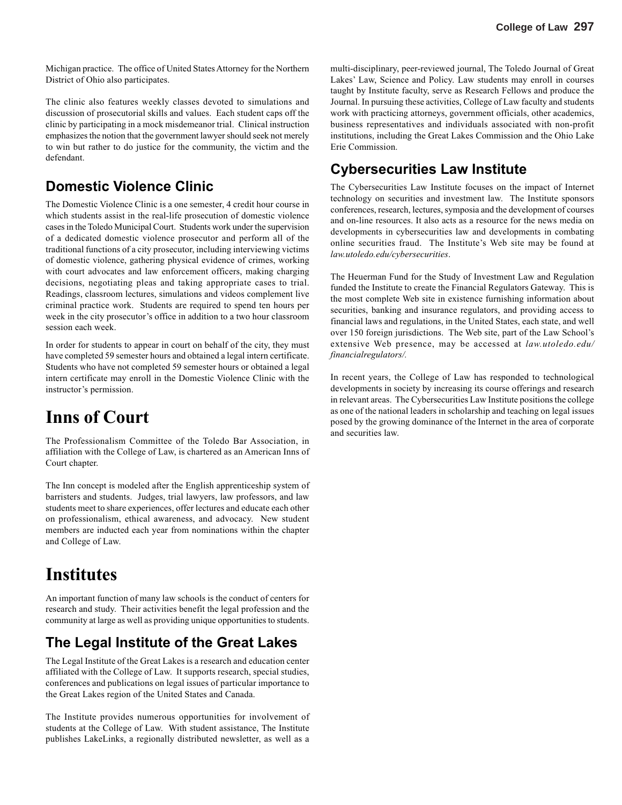Michigan practice. The office of United States Attorney for the Northern District of Ohio also participates.

The clinic also features weekly classes devoted to simulations and discussion of prosecutorial skills and values. Each student caps off the clinic by participating in a mock misdemeanor trial. Clinical instruction emphasizes the notion that the government lawyer should seek not merely to win but rather to do justice for the community, the victim and the defendant.

#### **Domestic Violence Clinic**

The Domestic Violence Clinic is a one semester, 4 credit hour course in which students assist in the real-life prosecution of domestic violence cases in the Toledo Municipal Court. Students work under the supervision of a dedicated domestic violence prosecutor and perform all of the traditional functions of a city prosecutor, including interviewing victims of domestic violence, gathering physical evidence of crimes, working with court advocates and law enforcement officers, making charging decisions, negotiating pleas and taking appropriate cases to trial. Readings, classroom lectures, simulations and videos complement live criminal practice work. Students are required to spend ten hours per week in the city prosecutor's office in addition to a two hour classroom session each week.

In order for students to appear in court on behalf of the city, they must have completed 59 semester hours and obtained a legal intern certificate. Students who have not completed 59 semester hours or obtained a legal intern certificate may enroll in the Domestic Violence Clinic with the instructor's permission.

## **Inns of Court**

The Professionalism Committee of the Toledo Bar Association, in affiliation with the College of Law, is chartered as an American Inns of Court chapter.

The Inn concept is modeled after the English apprenticeship system of barristers and students. Judges, trial lawyers, law professors, and law students meet to share experiences, offer lectures and educate each other on professionalism, ethical awareness, and advocacy. New student members are inducted each year from nominations within the chapter and College of Law.

## **Institutes**

An important function of many law schools is the conduct of centers for research and study. Their activities benefit the legal profession and the community at large as well as providing unique opportunities to students.

#### **The Legal Institute of the Great Lakes**

The Legal Institute of the Great Lakes is a research and education center affiliated with the College of Law. It supports research, special studies, conferences and publications on legal issues of particular importance to the Great Lakes region of the United States and Canada.

The Institute provides numerous opportunities for involvement of students at the College of Law. With student assistance, The Institute publishes LakeLinks, a regionally distributed newsletter, as well as a multi-disciplinary, peer-reviewed journal, The Toledo Journal of Great Lakes' Law, Science and Policy. Law students may enroll in courses taught by Institute faculty, serve as Research Fellows and produce the Journal. In pursuing these activities, College of Law faculty and students work with practicing attorneys, government officials, other academics, business representatives and individuals associated with non-profit institutions, including the Great Lakes Commission and the Ohio Lake Erie Commission.

#### **Cybersecurities Law Institute**

The Cybersecurities Law Institute focuses on the impact of Internet technology on securities and investment law. The Institute sponsors conferences, research, lectures, symposia and the development of courses and on-line resources. It also acts as a resource for the news media on developments in cybersecurities law and developments in combating online securities fraud. The Institute's Web site may be found at *law.utoledo.edu/cybersecurities*.

The Heuerman Fund for the Study of Investment Law and Regulation funded the Institute to create the Financial Regulators Gateway. This is the most complete Web site in existence furnishing information about securities, banking and insurance regulators, and providing access to financial laws and regulations, in the United States, each state, and well over 150 foreign jurisdictions. The Web site, part of the Law School's extensive Web presence, may be accessed at *law.utoledo.edu/ financialregulators/.*

In recent years, the College of Law has responded to technological developments in society by increasing its course offerings and research in relevant areas. The Cybersecurities Law Institute positions the college as one of the national leaders in scholarship and teaching on legal issues posed by the growing dominance of the Internet in the area of corporate and securities law.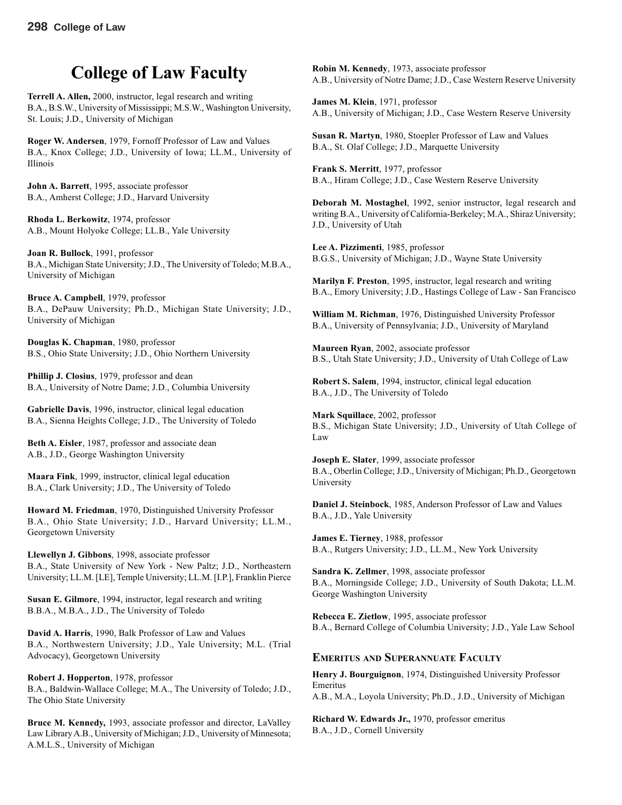## **College of Law Faculty**

**Terrell A. Allen,** 2000, instructor, legal research and writing B.A., B.S.W., University of Mississippi; M.S.W., Washington University, St. Louis; J.D., University of Michigan

**Roger W. Andersen**, 1979, Fornoff Professor of Law and Values B.A., Knox College; J.D., University of Iowa; LL.M., University of Illinois

**John A. Barrett**, 1995, associate professor B.A., Amherst College; J.D., Harvard University

**Rhoda L. Berkowitz**, 1974, professor A.B., Mount Holyoke College; LL.B., Yale University

**Joan R. Bullock**, 1991, professor B.A., Michigan State University; J.D., The University of Toledo; M.B.A., University of Michigan

**Bruce A. Campbell**, 1979, professor B.A., DePauw University; Ph.D., Michigan State University; J.D., University of Michigan

**Douglas K. Chapman**, 1980, professor B.S., Ohio State University; J.D., Ohio Northern University

**Phillip J. Closius**, 1979, professor and dean B.A., University of Notre Dame; J.D., Columbia University

**Gabrielle Davis**, 1996, instructor, clinical legal education B.A., Sienna Heights College; J.D., The University of Toledo

**Beth A. Eisler**, 1987, professor and associate dean A.B., J.D., George Washington University

**Maara Fink**, 1999, instructor, clinical legal education B.A., Clark University; J.D., The University of Toledo

**Howard M. Friedman**, 1970, Distinguished University Professor B.A., Ohio State University; J.D., Harvard University; LL.M., Georgetown University

**Llewellyn J. Gibbons**, 1998, associate professor B.A., State University of New York - New Paltz; J.D., Northeastern University; LL.M. [LE], Temple University; LL.M. [I.P.], Franklin Pierce

**Susan E. Gilmore**, 1994, instructor, legal research and writing B.B.A., M.B.A., J.D., The University of Toledo

**David A. Harris**, 1990, Balk Professor of Law and Values B.A., Northwestern University; J.D., Yale University; M.L. (Trial Advocacy), Georgetown University

**Robert J. Hopperton**, 1978, professor B.A., Baldwin-Wallace College; M.A., The University of Toledo; J.D., The Ohio State University

**Bruce M. Kennedy,** 1993, associate professor and director, LaValley Law Library A.B., University of Michigan; J.D., University of Minnesota; A.M.L.S., University of Michigan

**Robin M. Kennedy**, 1973, associate professor A.B., University of Notre Dame; J.D., Case Western Reserve University

**James M. Klein**, 1971, professor A.B., University of Michigan; J.D., Case Western Reserve University

**Susan R. Martyn**, 1980, Stoepler Professor of Law and Values B.A., St. Olaf College; J.D., Marquette University

**Frank S. Merritt**, 1977, professor B.A., Hiram College; J.D., Case Western Reserve University

**Deborah M. Mostaghel**, 1992, senior instructor, legal research and writing B.A., University of California-Berkeley; M.A., Shiraz University; J.D., University of Utah

**Lee A. Pizzimenti**, 1985, professor B.G.S., University of Michigan; J.D., Wayne State University

**Marilyn F. Preston**, 1995, instructor, legal research and writing B.A., Emory University; J.D., Hastings College of Law - San Francisco

**William M. Richman**, 1976, Distinguished University Professor B.A., University of Pennsylvania; J.D., University of Maryland

**Maureen Ryan**, 2002, associate professor B.S., Utah State University; J.D., University of Utah College of Law

**Robert S. Salem**, 1994, instructor, clinical legal education B.A., J.D., The University of Toledo

**Mark Squillace**, 2002, professor B.S., Michigan State University; J.D., University of Utah College of Law

**Joseph E. Slater**, 1999, associate professor B.A., Oberlin College; J.D., University of Michigan; Ph.D., Georgetown University

**Daniel J. Steinbock**, 1985, Anderson Professor of Law and Values B.A., J.D., Yale University

**James E. Tierney**, 1988, professor B.A., Rutgers University; J.D., LL.M., New York University

**Sandra K. Zellmer**, 1998, associate professor B.A., Morningside College; J.D., University of South Dakota; LL.M. George Washington University

**Rebecca E. Zietlow**, 1995, associate professor B.A., Bernard College of Columbia University; J.D., Yale Law School

#### **EMERITUS AND SUPERANNUATE FACULTY**

**Henry J. Bourguignon**, 1974, Distinguished University Professor Emeritus

A.B., M.A., Loyola University; Ph.D., J.D., University of Michigan

**Richard W. Edwards Jr.,** 1970, professor emeritus B.A., J.D., Cornell University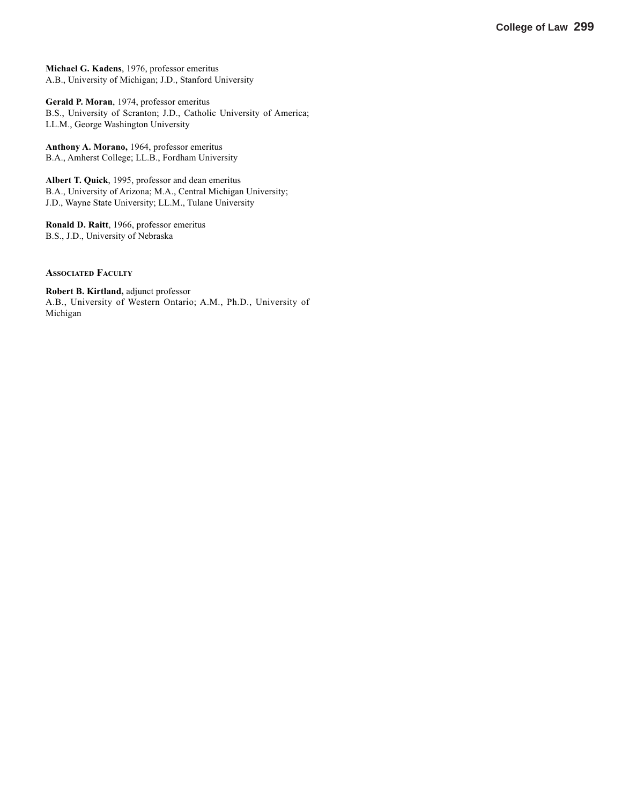**Michael G. Kadens**, 1976, professor emeritus A.B., University of Michigan; J.D., Stanford University

**Gerald P. Moran**, 1974, professor emeritus B.S., University of Scranton; J.D., Catholic University of America; LL.M., George Washington University

**Anthony A. Morano,** 1964, professor emeritus B.A., Amherst College; LL.B., Fordham University

**Albert T. Quick**, 1995, professor and dean emeritus B.A., University of Arizona; M.A., Central Michigan University; J.D., Wayne State University; LL.M., Tulane University

**Ronald D. Raitt**, 1966, professor emeritus B.S., J.D., University of Nebraska

**ASSOCIATED FACULTY**

**Robert B. Kirtland,** adjunct professor A.B., University of Western Ontario; A.M., Ph.D., University of Michigan